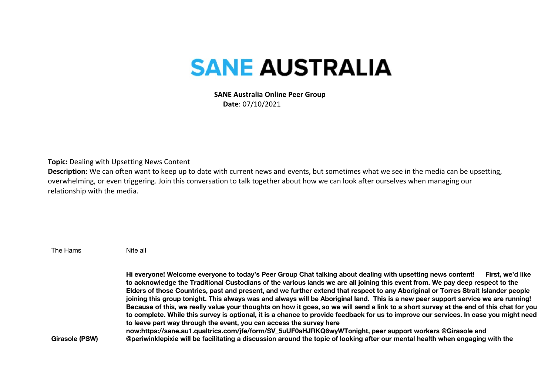## **SANE AUSTRALIA**

 **SANE Australia Online Peer Group Date**: 07/10/2021

**Topic:** Dealing with Upsetting News Content

**Description:** We can often want to keep up to date with current news and events, but sometimes what we see in the media can be upsetting, overwhelming, or even triggering. Join this conversation to talk together about how we can look after ourselves when managing our relationship with the media.

| The Hams       | Nite all                                                                                                                                                                                                                                                                                                                                                                                                                                                                                                                                                                                                                                                                                                                                                                                                                                                                                                                                                                                                                                                                                                                                              |
|----------------|-------------------------------------------------------------------------------------------------------------------------------------------------------------------------------------------------------------------------------------------------------------------------------------------------------------------------------------------------------------------------------------------------------------------------------------------------------------------------------------------------------------------------------------------------------------------------------------------------------------------------------------------------------------------------------------------------------------------------------------------------------------------------------------------------------------------------------------------------------------------------------------------------------------------------------------------------------------------------------------------------------------------------------------------------------------------------------------------------------------------------------------------------------|
| Girasole (PSW) | Hi everyone! Welcome everyone to today's Peer Group Chat talking about dealing with upsetting news content!<br>First, we'd like<br>to acknowledge the Traditional Custodians of the various lands we are all joining this event from. We pay deep respect to the<br>Elders of those Countries, past and present, and we further extend that respect to any Aboriginal or Torres Strait Islander people<br>joining this group tonight. This always was and always will be Aboriginal land. This is a new peer support service we are running!<br>Because of this, we really value your thoughts on how it goes, so we will send a link to a short survey at the end of this chat for you<br>to complete. While this survey is optional, it is a chance to provide feedback for us to improve our services. In case you might need<br>to leave part way through the event, you can access the survey here<br>now:https://sane.au1.qualtrics.com/jfe/form/SV_5uUF0sHJRKQ6wyWTonight, peer support workers @Girasole and<br>@periwinklepixie will be facilitating a discussion around the topic of looking after our mental health when engaging with the |
|                |                                                                                                                                                                                                                                                                                                                                                                                                                                                                                                                                                                                                                                                                                                                                                                                                                                                                                                                                                                                                                                                                                                                                                       |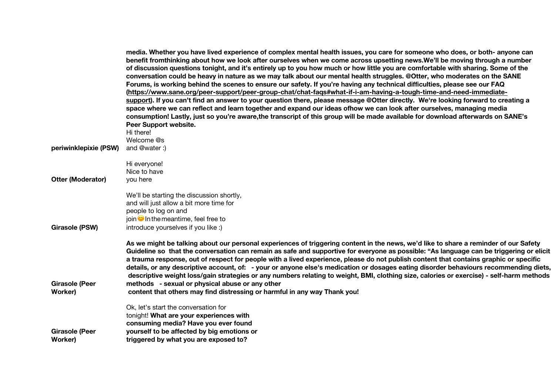|                                  | media. Whether you have lived experience of complex mental health issues, you care for someone who does, or both- anyone can<br>benefit fromthinking about how we look after ourselves when we come across upsetting news. We'll be moving through a number<br>of discussion questions tonight, and it's entirely up to you how much or how little you are comfortable with sharing. Some of the<br>conversation could be heavy in nature as we may talk about our mental health struggles. @Otter, who moderates on the SANE<br>Forums, is working behind the scenes to ensure our safety. If you're having any technical difficulties, please see our FAQ<br>(https://www.sane.org/peer-support/peer-group-chat/chat-fags#what-if-i-am-having-a-tough-time-and-need-immediate-<br>support). If you can't find an answer to your question there, please message @Otter directly. We're looking forward to creating a<br>space where we can reflect and learn together and expand our ideas ofhow we can look after ourselves, managing media<br>consumption! Lastly, just so you're aware, the transcript of this group will be made available for download afterwards on SANE's<br>Peer Support website.<br>Hi there! |
|----------------------------------|-------------------------------------------------------------------------------------------------------------------------------------------------------------------------------------------------------------------------------------------------------------------------------------------------------------------------------------------------------------------------------------------------------------------------------------------------------------------------------------------------------------------------------------------------------------------------------------------------------------------------------------------------------------------------------------------------------------------------------------------------------------------------------------------------------------------------------------------------------------------------------------------------------------------------------------------------------------------------------------------------------------------------------------------------------------------------------------------------------------------------------------------------------------------------------------------------------------------------|
|                                  | Welcome @s                                                                                                                                                                                                                                                                                                                                                                                                                                                                                                                                                                                                                                                                                                                                                                                                                                                                                                                                                                                                                                                                                                                                                                                                              |
| periwinklepixie (PSW)            | and @water:)                                                                                                                                                                                                                                                                                                                                                                                                                                                                                                                                                                                                                                                                                                                                                                                                                                                                                                                                                                                                                                                                                                                                                                                                            |
| <b>Otter (Moderator)</b>         | Hi everyone!<br>Nice to have<br>you here                                                                                                                                                                                                                                                                                                                                                                                                                                                                                                                                                                                                                                                                                                                                                                                                                                                                                                                                                                                                                                                                                                                                                                                |
| <b>Girasole (PSW)</b>            | We'll be starting the discussion shortly,<br>and will just allow a bit more time for<br>people to log on and<br>join $\bullet$ In the meantime, feel free to<br>introduce yourselves if you like :)                                                                                                                                                                                                                                                                                                                                                                                                                                                                                                                                                                                                                                                                                                                                                                                                                                                                                                                                                                                                                     |
| <b>Girasole (Peer</b><br>Worker) | As we might be talking about our personal experiences of triggering content in the news, we'd like to share a reminder of our Safety<br>Guideline so that the conversation can remain as safe and supportive for everyone as possible: "As language can be triggering or elicit<br>a trauma response, out of respect for people with a lived experience, please do not publish content that contains graphic or specific<br>details, or any descriptive account, of: - your or anyone else's medication or dosages eating disorder behaviours recommending diets,<br>descriptive weight loss/gain strategies or any numbers relating to weight, BMI, clothing size, calories or exercise) - self-harm methods<br>methods - sexual or physical abuse or any other<br>content that others may find distressing or harmful in any way Thank you!                                                                                                                                                                                                                                                                                                                                                                           |
| <b>Girasole (Peer</b><br>Worker) | Ok, let's start the conversation for<br>tonight! What are your experiences with<br>consuming media? Have you ever found<br>yourself to be affected by big emotions or<br>triggered by what you are exposed to?                                                                                                                                                                                                                                                                                                                                                                                                                                                                                                                                                                                                                                                                                                                                                                                                                                                                                                                                                                                                          |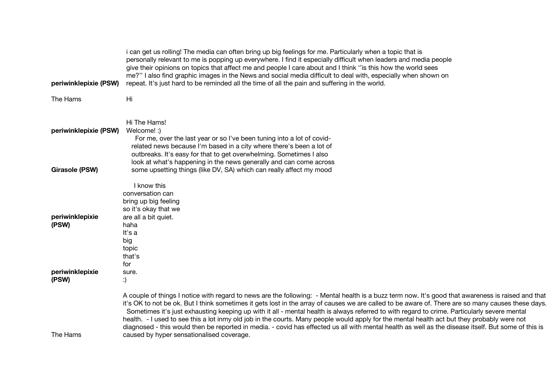| periwinklepixie (PSW)    | i can get us rolling! The media can often bring up big feelings for me. Particularly when a topic that is<br>personally relevant to me is popping up everywhere. I find it especially difficult when leaders and media people<br>give their opinions on topics that affect me and people I care about and I think "is this how the world sees<br>me?" I also find graphic images in the News and social media difficult to deal with, especially when shown on<br>repeat. It's just hard to be reminded all the time of all the pain and suffering in the world.                                                                                                                                                                                                                                            |
|--------------------------|-------------------------------------------------------------------------------------------------------------------------------------------------------------------------------------------------------------------------------------------------------------------------------------------------------------------------------------------------------------------------------------------------------------------------------------------------------------------------------------------------------------------------------------------------------------------------------------------------------------------------------------------------------------------------------------------------------------------------------------------------------------------------------------------------------------|
| The Hams                 | Hi                                                                                                                                                                                                                                                                                                                                                                                                                                                                                                                                                                                                                                                                                                                                                                                                          |
| periwinklepixie (PSW)    | Hi The Hams!<br>Welcome! :)<br>For me, over the last year or so I've been tuning into a lot of covid-<br>related news because I'm based in a city where there's been a lot of<br>outbreaks. It's easy for that to get overwhelming. Sometimes I also                                                                                                                                                                                                                                                                                                                                                                                                                                                                                                                                                        |
| <b>Girasole (PSW)</b>    | look at what's happening in the news generally and can come across<br>some upsetting things (like DV, SA) which can really affect my mood                                                                                                                                                                                                                                                                                                                                                                                                                                                                                                                                                                                                                                                                   |
| periwinklepixie<br>(PSW) | I know this<br>conversation can<br>bring up big feeling<br>so it's okay that we<br>are all a bit quiet.<br>haha<br>It's a<br>big<br>topic<br>that's<br>for                                                                                                                                                                                                                                                                                                                                                                                                                                                                                                                                                                                                                                                  |
| periwinklepixie<br>(PSW) | sure.<br>:)                                                                                                                                                                                                                                                                                                                                                                                                                                                                                                                                                                                                                                                                                                                                                                                                 |
| The Hams                 | A couple of things I notice with regard to news are the following: - Mental health is a buzz term now. It's good that awareness is raised and that<br>it's OK to not be ok. But I think sometimes it gets lost in the array of causes we are called to be aware of. There are so many causes these days.<br>Sometimes it's just exhausting keeping up with it all - mental health is always referred to with regard to crime. Particularly severe mental<br>health. - I used to see this a lot inmy old job in the courts. Many people would apply for the mental health act but they probably were not<br>diagnosed - this would then be reported in media. - covid has effected us all with mental health as well as the disease itself. But some of this is<br>caused by hyper sensationalised coverage. |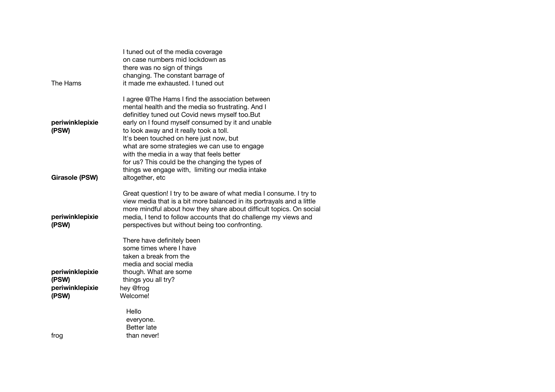|                          | I tuned out of the media coverage<br>on case numbers mid lockdown as<br>there was no sign of things                                                                                                                                                                                                                                                                                                                                                 |
|--------------------------|-----------------------------------------------------------------------------------------------------------------------------------------------------------------------------------------------------------------------------------------------------------------------------------------------------------------------------------------------------------------------------------------------------------------------------------------------------|
|                          | changing. The constant barrage of                                                                                                                                                                                                                                                                                                                                                                                                                   |
| The Hams                 | it made me exhausted. I tuned out                                                                                                                                                                                                                                                                                                                                                                                                                   |
| periwinklepixie<br>(PSW) | I agree @The Hams I find the association between<br>mental health and the media so frustrating. And I<br>definitley tuned out Covid news myself too.But<br>early on I found myself consumed by it and unable<br>to look away and it really took a toll.<br>It's been touched on here just now, but<br>what are some strategies we can use to engage<br>with the media in a way that feels better<br>for us? This could be the changing the types of |
| <b>Girasole (PSW)</b>    | things we engage with, limiting our media intake<br>altogether, etc                                                                                                                                                                                                                                                                                                                                                                                 |
| periwinklepixie<br>(PSW) | Great question! I try to be aware of what media I consume. I try to<br>view media that is a bit more balanced in its portrayals and a little<br>more mindful about how they share about difficult topics. On social<br>media, I tend to follow accounts that do challenge my views and<br>perspectives but without being too confronting.                                                                                                           |
| periwinklepixie          | There have definitely been<br>some times where I have<br>taken a break from the<br>media and social media<br>though. What are some                                                                                                                                                                                                                                                                                                                  |
| (PSW)                    | things you all try?                                                                                                                                                                                                                                                                                                                                                                                                                                 |
| periwinklepixie          | hey @frog                                                                                                                                                                                                                                                                                                                                                                                                                                           |
| (PSW)                    | Welcome!                                                                                                                                                                                                                                                                                                                                                                                                                                            |
| frog                     | Hello<br>everyone.<br>Better late<br>than never!                                                                                                                                                                                                                                                                                                                                                                                                    |
|                          |                                                                                                                                                                                                                                                                                                                                                                                                                                                     |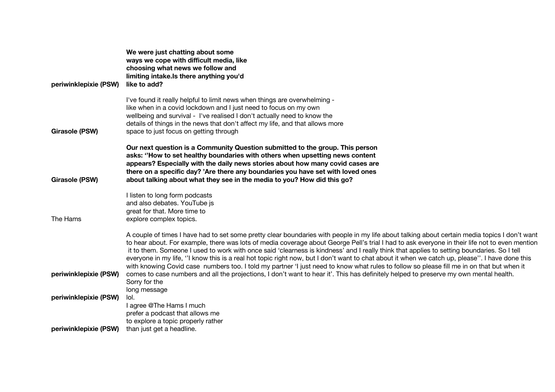|                       | We were just chatting about some<br>ways we cope with difficult media, like                                                                                                                                                                                                                                                                                                                                                                                                                                                                                                                                                                                                                                                                  |
|-----------------------|----------------------------------------------------------------------------------------------------------------------------------------------------------------------------------------------------------------------------------------------------------------------------------------------------------------------------------------------------------------------------------------------------------------------------------------------------------------------------------------------------------------------------------------------------------------------------------------------------------------------------------------------------------------------------------------------------------------------------------------------|
|                       | choosing what news we follow and<br>limiting intake. Is there anything you'd                                                                                                                                                                                                                                                                                                                                                                                                                                                                                                                                                                                                                                                                 |
| periwinklepixie (PSW) | like to add?                                                                                                                                                                                                                                                                                                                                                                                                                                                                                                                                                                                                                                                                                                                                 |
|                       | I've found it really helpful to limit news when things are overwhelming -<br>like when in a covid lockdown and I just need to focus on my own                                                                                                                                                                                                                                                                                                                                                                                                                                                                                                                                                                                                |
|                       | wellbeing and survival - I've realised I don't actually need to know the                                                                                                                                                                                                                                                                                                                                                                                                                                                                                                                                                                                                                                                                     |
| <b>Girasole (PSW)</b> | details of things in the news that don't affect my life, and that allows more<br>space to just focus on getting through                                                                                                                                                                                                                                                                                                                                                                                                                                                                                                                                                                                                                      |
|                       | Our next question is a Community Question submitted to the group. This person<br>asks: "How to set healthy boundaries with others when upsetting news content                                                                                                                                                                                                                                                                                                                                                                                                                                                                                                                                                                                |
|                       | appears? Especially with the daily news stories about how many covid cases are                                                                                                                                                                                                                                                                                                                                                                                                                                                                                                                                                                                                                                                               |
| Girasole (PSW)        | there on a specific day? 'Are there any boundaries you have set with loved ones<br>about talking about what they see in the media to you? How did this go?                                                                                                                                                                                                                                                                                                                                                                                                                                                                                                                                                                                   |
|                       | I listen to long form podcasts<br>and also debates. YouTube js                                                                                                                                                                                                                                                                                                                                                                                                                                                                                                                                                                                                                                                                               |
|                       | great for that. More time to                                                                                                                                                                                                                                                                                                                                                                                                                                                                                                                                                                                                                                                                                                                 |
| The Hams              | explore complex topics.                                                                                                                                                                                                                                                                                                                                                                                                                                                                                                                                                                                                                                                                                                                      |
|                       | A couple of times I have had to set some pretty clear boundaries with people in my life about talking about certain media topics I don't want<br>to hear about. For example, there was lots of media coverage about George Pell's trial I had to ask everyone in their life not to even mention<br>it to them. Someone I used to work with once said 'clearness is kindness' and I really think that applies to setting boundaries. So I tell<br>everyone in my life, "I know this is a real hot topic right now, but I don't want to chat about it when we catch up, please". I have done this<br>with knowing Covid case numbers too. I told my partner 'I just need to know what rules to follow so please fill me in on that but when it |
| periwinklepixie (PSW) | comes to case numbers and all the projections, I don't want to hear it'. This has definitely helped to preserve my own mental health.<br>Sorry for the                                                                                                                                                                                                                                                                                                                                                                                                                                                                                                                                                                                       |
| periwinklepixie (PSW) | long message<br>lol.                                                                                                                                                                                                                                                                                                                                                                                                                                                                                                                                                                                                                                                                                                                         |
|                       | I agree @The Hams I much                                                                                                                                                                                                                                                                                                                                                                                                                                                                                                                                                                                                                                                                                                                     |
|                       | prefer a podcast that allows me<br>to explore a topic properly rather                                                                                                                                                                                                                                                                                                                                                                                                                                                                                                                                                                                                                                                                        |
| periwinklepixie (PSW) | than just get a headline.                                                                                                                                                                                                                                                                                                                                                                                                                                                                                                                                                                                                                                                                                                                    |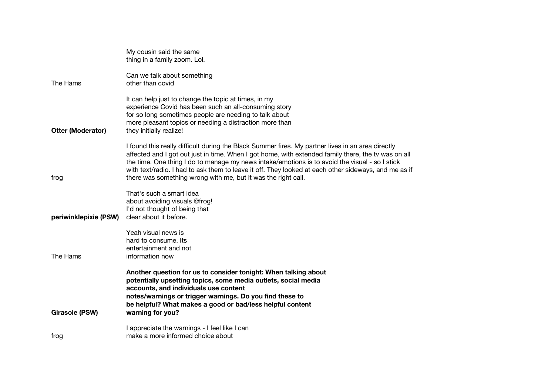|                          | My cousin said the same<br>thing in a family zoom. Lol.                                                                                                                                                                                                                                                                                                                                                                                                                             |
|--------------------------|-------------------------------------------------------------------------------------------------------------------------------------------------------------------------------------------------------------------------------------------------------------------------------------------------------------------------------------------------------------------------------------------------------------------------------------------------------------------------------------|
| The Hams                 | Can we talk about something<br>other than covid                                                                                                                                                                                                                                                                                                                                                                                                                                     |
| <b>Otter (Moderator)</b> | It can help just to change the topic at times, in my<br>experience Covid has been such an all-consuming story<br>for so long sometimes people are needing to talk about<br>more pleasant topics or needing a distraction more than<br>they initially realize!                                                                                                                                                                                                                       |
| frog                     | I found this really difficult during the Black Summer fires. My partner lives in an area directly<br>affected and I got out just in time. When I got home, with extended family there, the tv was on all<br>the time. One thing I do to manage my news intake/emotions is to avoid the visual - so I stick<br>with text/radio. I had to ask them to leave it off. They looked at each other sideways, and me as if<br>there was something wrong with me, but it was the right call. |
| periwinklepixie (PSW)    | That's such a smart idea<br>about avoiding visuals @frog!<br>I'd not thought of being that<br>clear about it before.                                                                                                                                                                                                                                                                                                                                                                |
| The Hams                 | Yeah visual news is<br>hard to consume. Its<br>entertainment and not<br>information now                                                                                                                                                                                                                                                                                                                                                                                             |
| <b>Girasole (PSW)</b>    | Another question for us to consider tonight: When talking about<br>potentially upsetting topics, some media outlets, social media<br>accounts, and individuals use content<br>notes/warnings or trigger warnings. Do you find these to<br>be helpful? What makes a good or bad/less helpful content<br>warning for you?                                                                                                                                                             |
| frog                     | I appreciate the warnings - I feel like I can<br>make a more informed choice about                                                                                                                                                                                                                                                                                                                                                                                                  |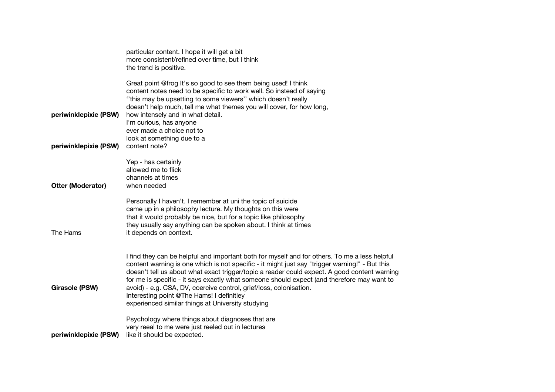|                                                | particular content. I hope it will get a bit<br>more consistent/refined over time, but I think<br>the trend is positive.                                                                                                                                                                                                                                                                                                                                                                                                                                              |
|------------------------------------------------|-----------------------------------------------------------------------------------------------------------------------------------------------------------------------------------------------------------------------------------------------------------------------------------------------------------------------------------------------------------------------------------------------------------------------------------------------------------------------------------------------------------------------------------------------------------------------|
| periwinklepixie (PSW)<br>periwinklepixie (PSW) | Great point @frog It's so good to see them being used! I think<br>content notes need to be specific to work well. So instead of saying<br>"this may be upsetting to some viewers" which doesn't really<br>doesn't help much, tell me what themes you will cover, for how long,<br>how intensely and in what detail.<br>I'm curious, has anyone<br>ever made a choice not to<br>look at something due to a<br>content note?                                                                                                                                            |
| Otter (Moderator)                              | Yep - has certainly<br>allowed me to flick<br>channels at times<br>when needed                                                                                                                                                                                                                                                                                                                                                                                                                                                                                        |
| The Hams                                       | Personally I haven't. I remember at uni the topic of suicide<br>came up in a philosophy lecture. My thoughts on this were<br>that it would probably be nice, but for a topic like philosophy<br>they usually say anything can be spoken about. I think at times<br>it depends on context.                                                                                                                                                                                                                                                                             |
| <b>Girasole (PSW)</b>                          | I find they can be helpful and important both for myself and for others. To me a less helpful<br>content warning is one which is not specific - it might just say "trigger warning!" - But this<br>doesn't tell us about what exact trigger/topic a reader could expect. A good content warning<br>for me is specific - it says exactly what someone should expect (and therefore may want to<br>avoid) - e.g. CSA, DV, coercive control, grief/loss, colonisation.<br>Interesting point @The Hams! I definitley<br>experienced similar things at University studying |
| periwinklepixie (PSW)                          | Psychology where things about diagnoses that are<br>very reeal to me were just reeled out in lectures<br>like it should be expected.                                                                                                                                                                                                                                                                                                                                                                                                                                  |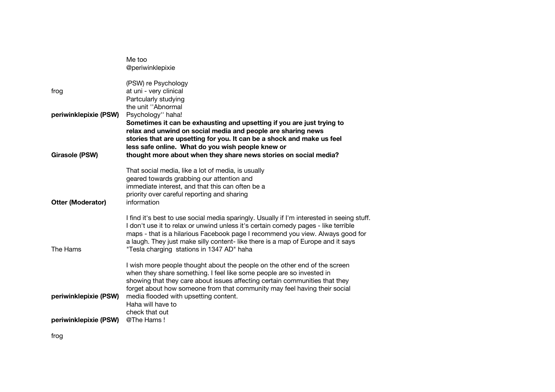|                          | Me too                                                                                                                                                                           |
|--------------------------|----------------------------------------------------------------------------------------------------------------------------------------------------------------------------------|
|                          | @periwinklepixie                                                                                                                                                                 |
| frog                     | (PSW) re Psychology<br>at uni - very clinical<br>Partcularly studying<br>the unit "Abnormal                                                                                      |
| periwinklepixie (PSW)    | Psychology" haha!                                                                                                                                                                |
|                          | Sometimes it can be exhausting and upsetting if you are just trying to                                                                                                           |
|                          | relax and unwind on social media and people are sharing news                                                                                                                     |
|                          | stories that are upsetting for you. It can be a shock and make us feel                                                                                                           |
| Girasole (PSW)           | less safe online. What do you wish people knew or<br>thought more about when they share news stories on social media?                                                            |
|                          |                                                                                                                                                                                  |
|                          | That social media, like a lot of media, is usually                                                                                                                               |
|                          | geared towards grabbing our attention and                                                                                                                                        |
|                          | immediate interest, and that this can often be a                                                                                                                                 |
| <b>Otter (Moderator)</b> | priority over careful reporting and sharing<br>information                                                                                                                       |
|                          |                                                                                                                                                                                  |
|                          | I find it's best to use social media sparingly. Usually if I'm interested in seeing stuff.<br>I don't use it to relax or unwind unless it's certain comedy pages - like terrible |
|                          | maps - that is a hilarious Facebook page I recommend you view. Always good for                                                                                                   |
|                          | a laugh. They just make silly content- like there is a map of Europe and it says                                                                                                 |
| The Hams                 | "Tesla charging stations in 1347 AD" haha                                                                                                                                        |
|                          | I wish more people thought about the people on the other end of the screen                                                                                                       |
|                          | when they share something. I feel like some people are so invested in                                                                                                            |
|                          | showing that they care about issues affecting certain communities that they                                                                                                      |
| periwinklepixie (PSW)    | forget about how someone from that community may feel having their social<br>media flooded with upsetting content.                                                               |
|                          | Haha will have to                                                                                                                                                                |
|                          | check that out                                                                                                                                                                   |
| periwinklepixie (PSW)    | @The Hams!                                                                                                                                                                       |
|                          |                                                                                                                                                                                  |

frog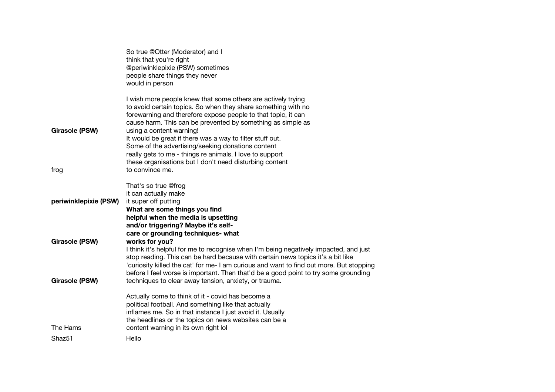|                       | So true @Otter (Moderator) and I                                                                              |
|-----------------------|---------------------------------------------------------------------------------------------------------------|
|                       | think that you're right                                                                                       |
|                       | @periwinklepixie (PSW) sometimes<br>people share things they never                                            |
|                       | would in person                                                                                               |
|                       |                                                                                                               |
|                       | I wish more people knew that some others are actively trying                                                  |
|                       | to avoid certain topics. So when they share something with no                                                 |
|                       | forewarning and therefore expose people to that topic, it can                                                 |
|                       | cause harm. This can be prevented by something as simple as                                                   |
| <b>Girasole (PSW)</b> | using a content warning!                                                                                      |
|                       | It would be great if there was a way to filter stuff out.                                                     |
|                       | Some of the advertising/seeking donations content<br>really gets to me - things re animals. I love to support |
|                       | these organisations but I don't need disturbing content                                                       |
| frog                  | to convince me.                                                                                               |
|                       |                                                                                                               |
|                       | That's so true @frog                                                                                          |
|                       | it can actually make                                                                                          |
| periwinklepixie (PSW) | it super off putting                                                                                          |
|                       | What are some things you find                                                                                 |
|                       | helpful when the media is upsetting<br>and/or triggering? Maybe it's self-                                    |
|                       | care or grounding techniques- what                                                                            |
| <b>Girasole (PSW)</b> | works for you?                                                                                                |
|                       | I think it's helpful for me to recognise when I'm being negatively impacted, and just                         |
|                       | stop reading. This can be hard because with certain news topics it's a bit like                               |
|                       | 'curiosity killed the cat' for me- I am curious and want to find out more. But stopping                       |
|                       | before I feel worse is important. Then that'd be a good point to try some grounding                           |
| <b>Girasole (PSW)</b> | techniques to clear away tension, anxiety, or trauma.                                                         |
|                       | Actually come to think of it - covid has become a                                                             |
|                       | political football. And something like that actually                                                          |
|                       | inflames me. So in that instance I just avoid it. Usually                                                     |
|                       | the headlines or the topics on news websites can be a                                                         |
| The Hams              | content warning in its own right lol                                                                          |
| Shaz <sub>51</sub>    | Hello                                                                                                         |
|                       |                                                                                                               |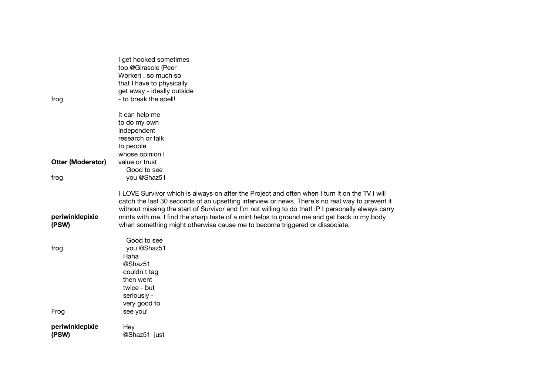| frog                     | I get hooked sometimes<br>too @Girasole (Peer<br>Worker), so much so<br>that I have to physically<br>get away - ideally outside<br>- to break the spell!                                                                                                                                                                                                                                                                                                                            |
|--------------------------|-------------------------------------------------------------------------------------------------------------------------------------------------------------------------------------------------------------------------------------------------------------------------------------------------------------------------------------------------------------------------------------------------------------------------------------------------------------------------------------|
|                          |                                                                                                                                                                                                                                                                                                                                                                                                                                                                                     |
|                          | It can help me<br>to do my own                                                                                                                                                                                                                                                                                                                                                                                                                                                      |
|                          | independent                                                                                                                                                                                                                                                                                                                                                                                                                                                                         |
|                          | research or talk                                                                                                                                                                                                                                                                                                                                                                                                                                                                    |
|                          | to people                                                                                                                                                                                                                                                                                                                                                                                                                                                                           |
|                          | whose opinion I                                                                                                                                                                                                                                                                                                                                                                                                                                                                     |
| <b>Otter (Moderator)</b> | value or trust                                                                                                                                                                                                                                                                                                                                                                                                                                                                      |
|                          | Good to see<br>you @Shaz51                                                                                                                                                                                                                                                                                                                                                                                                                                                          |
| frog                     |                                                                                                                                                                                                                                                                                                                                                                                                                                                                                     |
| periwinklepixie<br>(PSW) | I LOVE Survivor which is always on after the Project and often when I turn it on the TV I will<br>catch the last 30 seconds of an upsetting interview or news. There's no real way to prevent it<br>without missing the start of Survivor and I'm not willing to do that! : P I personally always carry<br>mints with me. I find the sharp taste of a mint helps to ground me and get back in my body<br>when something might otherwise cause me to become triggered or dissociate. |
|                          |                                                                                                                                                                                                                                                                                                                                                                                                                                                                                     |
|                          | Good to see                                                                                                                                                                                                                                                                                                                                                                                                                                                                         |
| frog                     | you @Shaz51                                                                                                                                                                                                                                                                                                                                                                                                                                                                         |
|                          | Haha<br>@Shaz51                                                                                                                                                                                                                                                                                                                                                                                                                                                                     |
|                          | couldn't tag                                                                                                                                                                                                                                                                                                                                                                                                                                                                        |
|                          | then went                                                                                                                                                                                                                                                                                                                                                                                                                                                                           |
|                          | twice - but                                                                                                                                                                                                                                                                                                                                                                                                                                                                         |
|                          | seriously -                                                                                                                                                                                                                                                                                                                                                                                                                                                                         |
|                          | very good to                                                                                                                                                                                                                                                                                                                                                                                                                                                                        |
| Frog                     | see you!                                                                                                                                                                                                                                                                                                                                                                                                                                                                            |
| periwinklepixie          | Hey                                                                                                                                                                                                                                                                                                                                                                                                                                                                                 |
| (PSW)                    | @Shaz51 just                                                                                                                                                                                                                                                                                                                                                                                                                                                                        |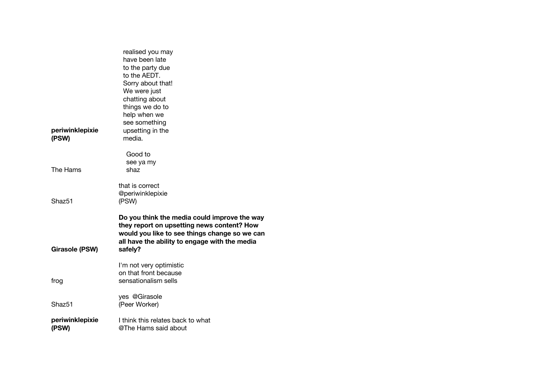| periwinklepixie          | realised you may<br>have been late<br>to the party due<br>to the AEDT.<br>Sorry about that!<br>We were just<br>chatting about<br>things we do to<br>help when we<br>see something<br>upsetting in the   |
|--------------------------|---------------------------------------------------------------------------------------------------------------------------------------------------------------------------------------------------------|
| (PSW)                    | media.                                                                                                                                                                                                  |
| The Hams                 | Good to<br>see ya my<br>shaz                                                                                                                                                                            |
| Shaz <sub>51</sub>       | that is correct<br>@periwinklepixie<br>(PSW)                                                                                                                                                            |
| <b>Girasole (PSW)</b>    | Do you think the media could improve the way<br>they report on upsetting news content? How<br>would you like to see things change so we can<br>all have the ability to engage with the media<br>safely? |
| frog                     | I'm not very optimistic<br>on that front because<br>sensationalism sells                                                                                                                                |
| Shaz <sub>51</sub>       | yes @Girasole<br>(Peer Worker)                                                                                                                                                                          |
| periwinklepixie<br>(PSW) | I think this relates back to what<br>@The Hams said about                                                                                                                                               |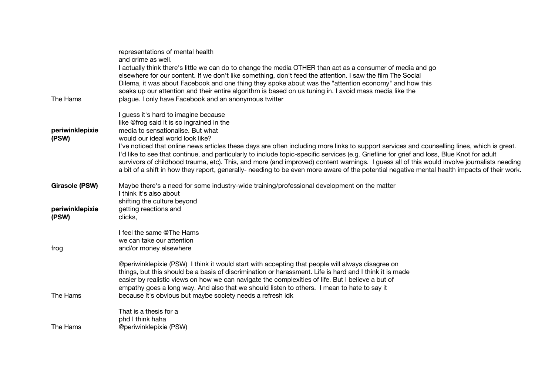|                          | representations of mental health<br>and crime as well.<br>I actually think there's little we can do to change the media OTHER than act as a consumer of media and go<br>elsewhere for our content. If we don't like something, don't feed the attention. I saw the film The Social<br>Dilema, it was about Facebook and one thing they spoke about was the "attention economy" and how this<br>soaks up our attention and their entire algorithm is based on us tuning in. I avoid mass media like the                                                                                                                                                                                                                                                |
|--------------------------|-------------------------------------------------------------------------------------------------------------------------------------------------------------------------------------------------------------------------------------------------------------------------------------------------------------------------------------------------------------------------------------------------------------------------------------------------------------------------------------------------------------------------------------------------------------------------------------------------------------------------------------------------------------------------------------------------------------------------------------------------------|
| The Hams                 | plague. I only have Facebook and an anonymous twitter                                                                                                                                                                                                                                                                                                                                                                                                                                                                                                                                                                                                                                                                                                 |
| periwinklepixie<br>(PSW) | I guess it's hard to imagine because<br>like @frog said it is so ingrained in the<br>media to sensationalise. But what<br>would our ideal world look like?<br>I've noticed that online news articles these days are often including more links to support services and counselling lines, which is great.<br>I'd like to see that continue, and particularly to include topic-specific services (e.g. Griefline for grief and loss, Blue Knot for adult<br>survivors of childhood trauma, etc). This, and more (and improved) content warnings. I guess all of this would involve journalists needing<br>a bit of a shift in how they report, generally- needing to be even more aware of the potential negative mental health impacts of their work. |
| <b>Girasole (PSW)</b>    | Maybe there's a need for some industry-wide training/professional development on the matter<br>I think it's also about                                                                                                                                                                                                                                                                                                                                                                                                                                                                                                                                                                                                                                |
| periwinklepixie<br>(PSW) | shifting the culture beyond<br>getting reactions and<br>clicks,                                                                                                                                                                                                                                                                                                                                                                                                                                                                                                                                                                                                                                                                                       |
| frog                     | I feel the same @The Hams<br>we can take our attention<br>and/or money elsewhere                                                                                                                                                                                                                                                                                                                                                                                                                                                                                                                                                                                                                                                                      |
| The Hams                 | @periwinklepixie (PSW) I think it would start with accepting that people will always disagree on<br>things, but this should be a basis of discrimination or harassment. Life is hard and I think it is made<br>easier by realistic views on how we can navigate the complexities of life. But I believe a but of<br>empathy goes a long way. And also that we should listen to others. I mean to hate to say it<br>because it's obvious but maybe society needs a refresh idk                                                                                                                                                                                                                                                                         |
| The Hams                 | That is a thesis for a<br>phd I think haha<br>@periwinklepixie (PSW)                                                                                                                                                                                                                                                                                                                                                                                                                                                                                                                                                                                                                                                                                  |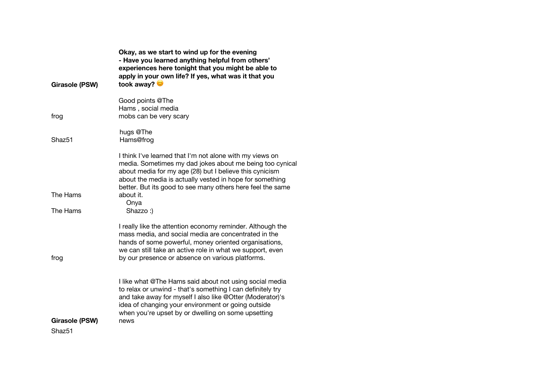|                                      | Okay, as we start to wind up for the evening<br>- Have you learned anything helpful from others'<br>experiences here tonight that you might be able to<br>apply in your own life? If yes, what was it that you<br>took away?                                                                              |
|--------------------------------------|-----------------------------------------------------------------------------------------------------------------------------------------------------------------------------------------------------------------------------------------------------------------------------------------------------------|
| <b>Girasole (PSW)</b>                |                                                                                                                                                                                                                                                                                                           |
| frog                                 | Good points @The<br>Hams, social media<br>mobs can be very scary                                                                                                                                                                                                                                          |
| Shaz51                               | hugs @The<br>Hams@frog                                                                                                                                                                                                                                                                                    |
|                                      | I think I've learned that I'm not alone with my views on<br>media. Sometimes my dad jokes about me being too cynical<br>about media for my age (28) but I believe this cynicism<br>about the media is actually vested in hope for something<br>better. But its good to see many others here feel the same |
| The Hams                             | about it.                                                                                                                                                                                                                                                                                                 |
| The Hams                             | Onya<br>Shazzo:)                                                                                                                                                                                                                                                                                          |
| frog                                 | I really like the attention economy reminder. Although the<br>mass media, and social media are concentrated in the<br>hands of some powerful, money oriented organisations,<br>we can still take an active role in what we support, even<br>by our presence or absence on various platforms.              |
|                                      | I like what @The Hams said about not using social media<br>to relax or unwind - that's something I can definitely try<br>and take away for myself I also like @Otter (Moderator)'s<br>idea of changing your environment or going outside<br>when you're upset by or dwelling on some upsetting            |
| Girasole (PSW)<br>Shaz <sub>51</sub> | news                                                                                                                                                                                                                                                                                                      |
|                                      |                                                                                                                                                                                                                                                                                                           |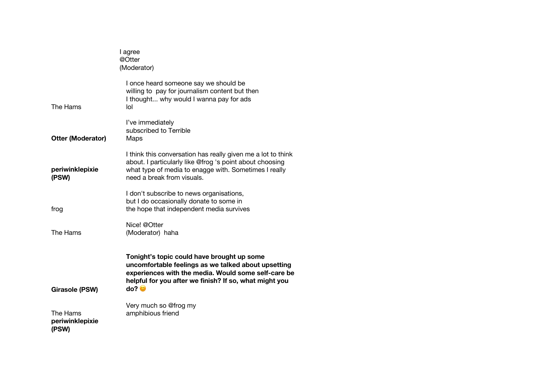|                                      | I agree<br>@Otter<br>(Moderator)                                                                                                                                                                                                    |
|--------------------------------------|-------------------------------------------------------------------------------------------------------------------------------------------------------------------------------------------------------------------------------------|
| The Hams                             | I once heard someone say we should be<br>willing to pay for journalism content but then<br>I thought why would I wanna pay for ads<br>lol                                                                                           |
| <b>Otter (Moderator)</b>             | I've immediately<br>subscribed to Terrible<br>Maps                                                                                                                                                                                  |
| periwinklepixie<br>(PSW)             | I think this conversation has really given me a lot to think<br>about. I particularly like @frog 's point about choosing<br>what type of media to enagge with. Sometimes I really<br>need a break from visuals.                     |
| frog                                 | I don't subscribe to news organisations,<br>but I do occasionally donate to some in<br>the hope that independent media survives                                                                                                     |
| The Hams                             | Nice! @Otter<br>(Moderator) haha                                                                                                                                                                                                    |
| Girasole (PSW)                       | Tonight's topic could have brought up some<br>uncomfortable feelings as we talked about upsetting<br>experiences with the media. Would some self-care be<br>helpful for you after we finish? If so, what might you<br>do? $\bullet$ |
| The Hams<br>periwinklepixie<br>(PSW) | Very much so @frog my<br>amphibious friend                                                                                                                                                                                          |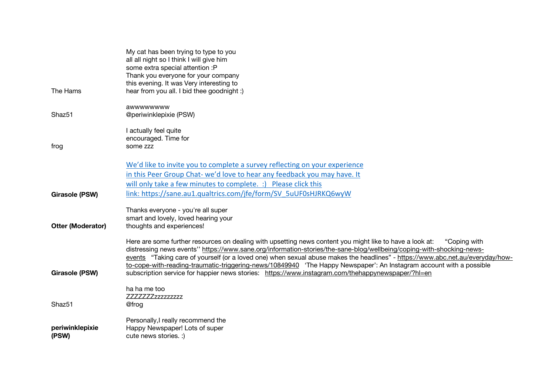|                          | My cat has been trying to type to you<br>all all night so I think I will give him<br>some extra special attention :P<br>Thank you everyone for your company                                                                                                                                                                                                                                                                                                                                               |
|--------------------------|-----------------------------------------------------------------------------------------------------------------------------------------------------------------------------------------------------------------------------------------------------------------------------------------------------------------------------------------------------------------------------------------------------------------------------------------------------------------------------------------------------------|
| The Hams                 | this evening. It was Very interesting to<br>hear from you all. I bid thee goodnight :)                                                                                                                                                                                                                                                                                                                                                                                                                    |
| Shaz <sub>51</sub>       | awwwwwww<br>@periwinklepixie (PSW)                                                                                                                                                                                                                                                                                                                                                                                                                                                                        |
| frog                     | I actually feel quite<br>encouraged. Time for<br>some zzz                                                                                                                                                                                                                                                                                                                                                                                                                                                 |
|                          | We'd like to invite you to complete a survey reflecting on your experience<br>in this Peer Group Chat- we'd love to hear any feedback you may have. It<br>will only take a few minutes to complete. :) Please click this                                                                                                                                                                                                                                                                                  |
| <b>Girasole (PSW)</b>    | link: https://sane.au1.qualtrics.com/jfe/form/SV 5uUF0sHJRKQ6wyW                                                                                                                                                                                                                                                                                                                                                                                                                                          |
| <b>Otter (Moderator)</b> | Thanks everyone - you're all super<br>smart and lovely, loved hearing your<br>thoughts and experiences!                                                                                                                                                                                                                                                                                                                                                                                                   |
|                          | Here are some further resources on dealing with upsetting news content you might like to have a look at:<br>"Coping with<br>distressing news events" https://www.sane.org/information-stories/the-sane-blog/wellbeing/coping-with-shocking-news-<br>events "Taking care of yourself (or a loved one) when sexual abuse makes the headlines" - https://www.abc.net.au/everyday/how-<br>to-cope-with-reading-traumatic-triggering-news/10849940 'The Happy Newspaper': An Instagram account with a possible |
| <b>Girasole (PSW)</b>    | subscription service for happier news stories: https://www.instagram.com/thehappynewspaper/?hl=en                                                                                                                                                                                                                                                                                                                                                                                                         |
| Shaz51                   | ha ha me too<br>ZZZZZZZzzzzzzzzz<br>@frog                                                                                                                                                                                                                                                                                                                                                                                                                                                                 |
| periwinklepixie<br>(PSW) | Personally, I really recommend the<br>Happy Newspaper! Lots of super<br>cute news stories. :)                                                                                                                                                                                                                                                                                                                                                                                                             |